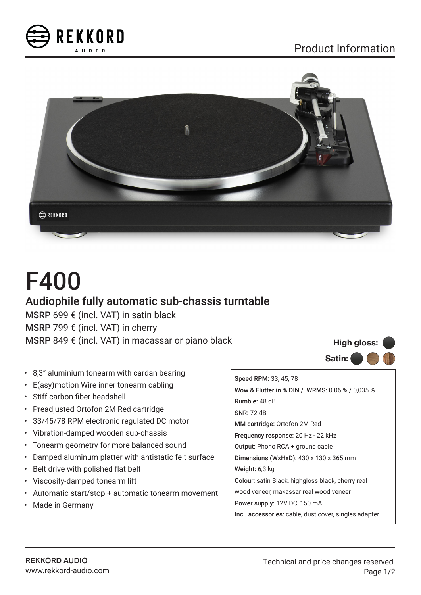



# F400

## Audiophile fully automatic sub-chassis turntable

MSRP 699 € (incl. VAT) in satin black MSRP 799 € (incl. VAT) in cherry MSRP 849 € (incl. VAT) in macassar or piano black

- 8,3" aluminium tonearm with cardan bearing
- E(asy)motion Wire inner tonearm cabling
- Stiff carbon fiber headshell
- Preadjusted Ortofon 2M Red cartridge
- 33/45/78 RPM electronic regulated DC motor
- Vibration-damped wooden sub-chassis
- Tonearm geometry for more balanced sound
- Damped aluminum platter with antistatic felt surface
- Belt drive with polished flat belt
- Viscosity-damped tonearm lift
- Automatic start/stop + automatic tonearm movement
- Made in Germany

Speed RPM: 33, 45, 78 Wow & Flutter in % DIN / WRMS: 0.06 % / 0,035 % Rumble: 48 dB SNR: 72 dB MM cartridge: Ortofon 2M Red Frequency response: 20 Hz - 22 kHz Output: Phono RCA + ground cable Dimensions (WxHxD): 430 x 130 x 365 mm Weight: 6,3 kg Colour: satin Black, highgloss black, cherry real wood veneer, makassar real wood veneer Power supply: 12V DC, 150 mA Incl. accessories: cable, dust cover, singles adapter

**Satin:**

**High gloss:**